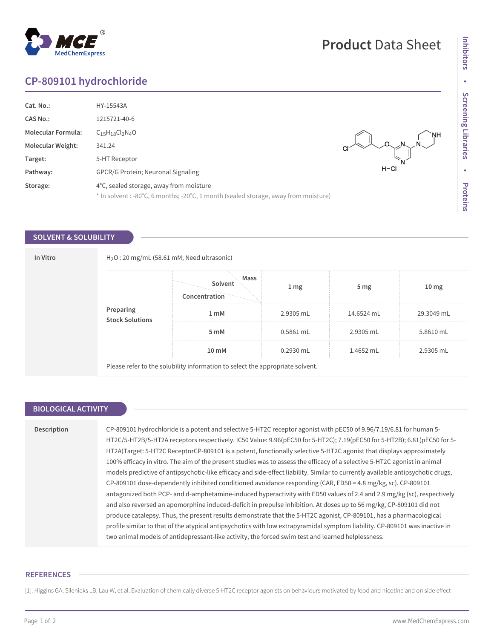# **CP-809101 hydrochloride**

| Cat. No.:                 | HY-15543A                                                                           |                 |
|---------------------------|-------------------------------------------------------------------------------------|-----------------|
| <b>CAS No.:</b>           | 1215721-40-6                                                                        |                 |
| <b>Molecular Formula:</b> | $C_{15}H_{18}Cl_2N_4O$                                                              | `NH             |
| <b>Molecular Weight:</b>  | 341.24                                                                              | $N_1 = N_1 = 1$ |
| Target:                   | 5-HT Receptor                                                                       |                 |
| Pathway:                  | GPCR/G Protein; Neuronal Signaling                                                  | $H-CI$          |
| Storage:                  | 4°C, sealed storage, away from moisture                                             |                 |
|                           | * In solvent : -80°C, 6 months; -20°C, 1 month (sealed storage, away from moisture) |                 |

## **SOLVENT & SOLUBILITY**

| In Vitro |                                      | $H2O$ : 20 mg/mL (58.61 mM; Need ultrasonic)                                  |             |                 |                  |  |  |
|----------|--------------------------------------|-------------------------------------------------------------------------------|-------------|-----------------|------------------|--|--|
|          |                                      | Mass<br>Solvent<br>Concentration                                              | 1 mg        | 5 <sub>mg</sub> | 10 <sub>mg</sub> |  |  |
|          | <b>Preparing<br/>Stock Solutions</b> | 1 <sub>m</sub> M                                                              | 2.9305 mL   | 14.6524 mL      | 29.3049 mL       |  |  |
|          |                                      | 5 mM                                                                          | 0.5861 mL   | 2.9305 mL       | 5.8610 mL        |  |  |
|          |                                      | 10 mM                                                                         | $0.2930$ mL | 1.4652 mL       | 2.9305 mL        |  |  |
|          |                                      | Please refer to the solubility information to select the appropriate solvent. |             |                 |                  |  |  |

## **BIOLOGICAL ACTIVITY**

**Description** CP-809101 hydrochloride is a potent and selective 5-HT2C receptor agonist with pEC50 of 9.96/7.19/6.81 for human 5- HT2C/5-HT2B/5-HT2A receptors respectively. IC50 Value: 9.96(pEC50 for 5-HT2C); 7.19(pEC50 for 5-HT2B); 6.81(pEC50 for 5- HT2A)Target: 5-HT2C ReceptorCP-809101 is a potent, functionally selective 5-HT2C agonist that displays approximately 100% efficacy in vitro. The aim of the present studies was to assess the efficacy of a selective 5-HT2C agonist in animal models predictive of antipsychotic-like efficacy and side-effect liability. Similar to currently available antipsychotic drugs, CP-809101 dose-dependently inhibited conditioned avoidance responding (CAR, ED50 = 4.8 mg/kg, sc). CP-809101 antagonized both PCP- and d-amphetamine-induced hyperactivity with ED50 values of 2.4 and 2.9 mg/kg (sc), respectively and also reversed an apomorphine induced-deficit in prepulse inhibition. At doses up to 56 mg/kg, CP-809101 did not produce catalepsy. Thus, the present results demonstrate that the 5-HT2C agonist, CP-809101, has a pharmacological profile similar to that of the atypical antipsychotics with low extrapyramidal symptom liability. CP-809101 was inactive in two animal models of antidepressant-like activity, the forced swim test and learned helplessness.

## **REFERENCES**

[1]. Higgins GA, Silenieks LB, Lau W, et al. Evaluation of chemically diverse 5-HT2C receptor agonists on behaviours motivated by food and nicotine and on side effect

**Product** Data Sheet